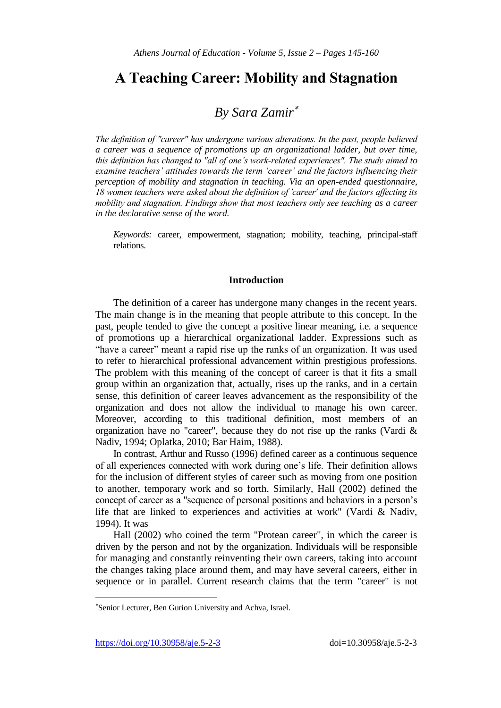# **A Teaching Career: Mobility and Stagnation**

# *By Sara Zamir*

*The definition of "career" has undergone various alterations. In the past, people believed a career was a sequence of promotions up an organizational ladder, but over time, this definition has changed to "all of one's work-related experiences". The study aimed to examine teachers' attitudes towards the term 'career' and the factors influencing their perception of mobility and stagnation in teaching. Via an open-ended questionnaire, 18 women teachers were asked about the definition of 'career' and the factors affecting its mobility and stagnation. Findings show that most teachers only see teaching as a career in the declarative sense of the word.* 

*Keywords:* career, empowerment, stagnation; mobility, teaching, principal-staff relations.

## **Introduction**

The definition of a career has undergone many changes in the recent years. The main change is in the meaning that people attribute to this concept. In the past, people tended to give the concept a positive linear meaning, i.e. a sequence of promotions up a hierarchical organizational ladder. Expressions such as "have a career" meant a rapid rise up the ranks of an organization. It was used to refer to hierarchical professional advancement within prestigious professions. The problem with this meaning of the concept of career is that it fits a small group within an organization that, actually, rises up the ranks, and in a certain sense, this definition of career leaves advancement as the responsibility of the organization and does not allow the individual to manage his own career. Moreover, according to this traditional definition, most members of an organization have no "career", because they do not rise up the ranks (Vardi  $\&$ Nadiv, 1994; Oplatka, 2010; Bar Haim, 1988).

In contrast, Arthur and Russo (1996) defined career as a continuous sequence of all experiences connected with work during one"s life. Their definition allows for the inclusion of different styles of career such as moving from one position to another, temporary work and so forth. Similarly, Hall (2002) defined the concept of career as a "sequence of personal positions and behaviors in a person"s life that are linked to experiences and activities at work" (Vardi & Nadiv, 1994). It was

Hall (2002) who coined the term "Protean career", in which the career is driven by the person and not by the organization. Individuals will be responsible for managing and constantly reinventing their own careers, taking into account the changes taking place around them, and may have several careers, either in sequence or in parallel. Current research claims that the term "career" is not

l

Senior Lecturer, Ben Gurion University and Achva, Israel.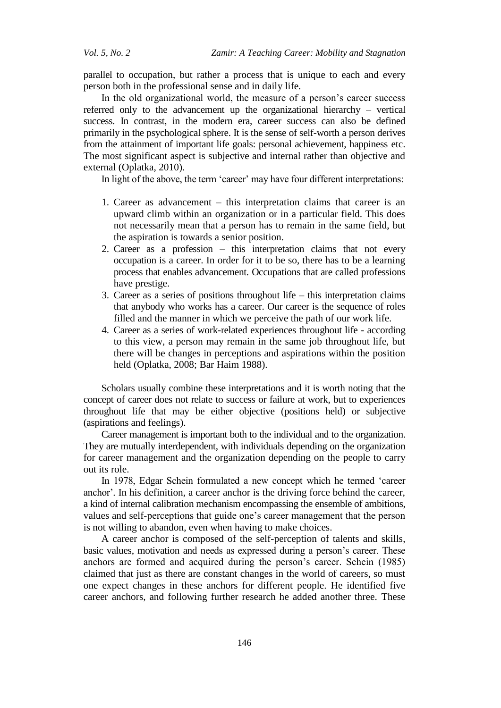parallel to occupation, but rather a process that is unique to each and every person both in the professional sense and in daily life.

In the old organizational world, the measure of a person"s career success referred only to the advancement up the organizational hierarchy – vertical success. In contrast, in the modern era, career success can also be defined primarily in the psychological sphere. It is the sense of self-worth a person derives from the attainment of important life goals: personal achievement, happiness etc. The most significant aspect is subjective and internal rather than objective and external (Oplatka, 2010).

In light of the above, the term 'career' may have four different interpretations:

- 1. Career as advancement this interpretation claims that career is an upward climb within an organization or in a particular field. This does not necessarily mean that a person has to remain in the same field, but the aspiration is towards a senior position.
- 2. Career as a profession this interpretation claims that not every occupation is a career. In order for it to be so, there has to be a learning process that enables advancement. Occupations that are called professions have prestige.
- 3. Career as a series of positions throughout life this interpretation claims that anybody who works has a career. Our career is the sequence of roles filled and the manner in which we perceive the path of our work life.
- 4. Career as a series of work-related experiences throughout life according to this view, a person may remain in the same job throughout life, but there will be changes in perceptions and aspirations within the position held (Oplatka, 2008; Bar Haim 1988).

Scholars usually combine these interpretations and it is worth noting that the concept of career does not relate to success or failure at work, but to experiences throughout life that may be either objective (positions held) or subjective (aspirations and feelings).

Career management is important both to the individual and to the organization. They are mutually interdependent, with individuals depending on the organization for career management and the organization depending on the people to carry out its role.

In 1978, Edgar Schein formulated a new concept which he termed "career anchor'. In his definition, a career anchor is the driving force behind the career, a kind of internal calibration mechanism encompassing the ensemble of ambitions, values and self-perceptions that guide one"s career management that the person is not willing to abandon, even when having to make choices.

A career anchor is composed of the self-perception of talents and skills, basic values, motivation and needs as expressed during a person"s career. These anchors are formed and acquired during the person"s career. Schein (1985) claimed that just as there are constant changes in the world of careers, so must one expect changes in these anchors for different people. He identified five career anchors, and following further research he added another three. These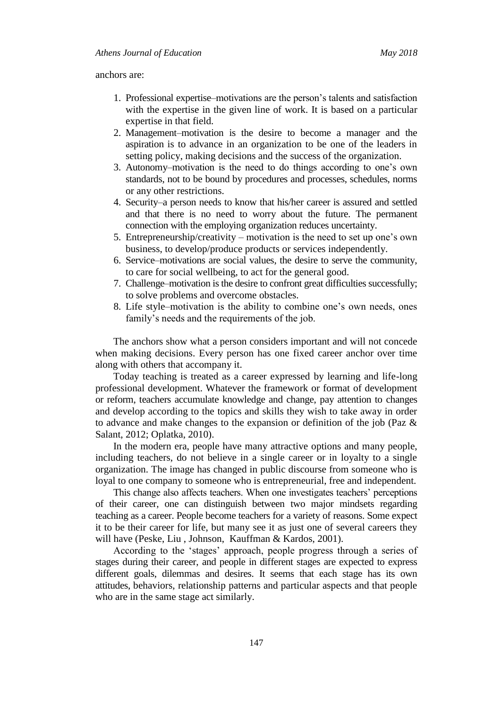anchors are:

- 1. Professional expertise–motivations are the person"s talents and satisfaction with the expertise in the given line of work. It is based on a particular expertise in that field.
- 2. Management–motivation is the desire to become a manager and the aspiration is to advance in an organization to be one of the leaders in setting policy, making decisions and the success of the organization.
- 3. Autonomy–motivation is the need to do things according to one"s own standards, not to be bound by procedures and processes, schedules, norms or any other restrictions.
- 4. Security–a person needs to know that his/her career is assured and settled and that there is no need to worry about the future. The permanent connection with the employing organization reduces uncertainty.
- 5. Entrepreneurship/creativity motivation is the need to set up one"s own business, to develop/produce products or services independently.
- 6. Service–motivations are social values, the desire to serve the community, to care for social wellbeing, to act for the general good.
- 7. Challenge–motivation is the desire to confront great difficulties successfully; to solve problems and overcome obstacles.
- 8. Life style–motivation is the ability to combine one"s own needs, ones family's needs and the requirements of the job.

The anchors show what a person considers important and will not concede when making decisions. Every person has one fixed career anchor over time along with others that accompany it.

Today teaching is treated as a career expressed by learning and life-long professional development. Whatever the framework or format of development or reform, teachers accumulate knowledge and change, pay attention to changes and develop according to the topics and skills they wish to take away in order to advance and make changes to the expansion or definition of the job (Paz & Salant, 2012; Oplatka, 2010).

In the modern era, people have many attractive options and many people, including teachers, do not believe in a single career or in loyalty to a single organization. The image has changed in public discourse from someone who is loyal to one company to someone who is entrepreneurial, free and independent.

This change also affects teachers. When one investigates teachers' perceptions of their career, one can distinguish between two major mindsets regarding teaching as a career. People become teachers for a variety of reasons. Some expect it to be their career for life, but many see it as just one of several careers they will have [\(Peske,](http://www.kappanmagazine.org/search?author1=Heather+G.+Peske&sortspec=date&submit=Submit) [Liu](http://www.kappanmagazine.org/search?author1=Edward+Liu&sortspec=date&submit=Submit) , Johnson, [Kauffman](http://www.kappanmagazine.org/search?author1=David+Kauffman&sortspec=date&submit=Submit) & Kardos, 2001).

According to the "stages" approach, people progress through a series of stages during their career, and people in different stages are expected to express different goals, dilemmas and desires. It seems that each stage has its own attitudes, behaviors, relationship patterns and particular aspects and that people who are in the same stage act similarly.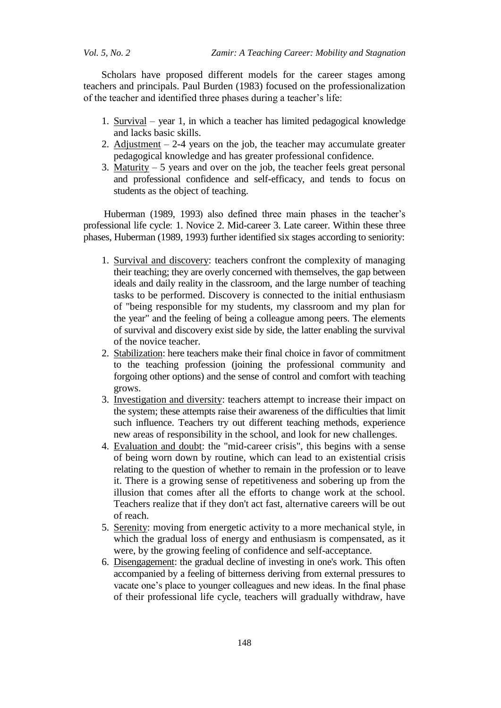Scholars have proposed different models for the career stages among teachers and principals. Paul Burden (1983) focused on the professionalization of the teacher and identified three phases during a teacher"s life:

- 1. Survival year 1, in which a teacher has limited pedagogical knowledge and lacks basic skills.
- 2. Adjustment  $-2-4$  years on the job, the teacher may accumulate greater pedagogical knowledge and has greater professional confidence.
- 3. Maturity  $-5$  years and over on the job, the teacher feels great personal and professional confidence and self-efficacy, and tends to focus on students as the object of teaching.

Huberman (1989, 1993) also defined three main phases in the teacher's professional life cycle: 1. Novice 2. Mid-career 3. Late career. Within these three phases, Huberman (1989, 1993) further identified six stages according to seniority:

- 1. Survival and discovery: teachers confront the complexity of managing their teaching; they are overly concerned with themselves, the gap between ideals and daily reality in the classroom, and the large number of teaching tasks to be performed. Discovery is connected to the initial enthusiasm of "being responsible for my students, my classroom and my plan for the year" and the feeling of being a colleague among peers. The elements of survival and discovery exist side by side, the latter enabling the survival of the novice teacher.
- 2. Stabilization: here teachers make their final choice in favor of commitment to the teaching profession (joining the professional community and forgoing other options) and the sense of control and comfort with teaching grows.
- 3. Investigation and diversity: teachers attempt to increase their impact on the system; these attempts raise their awareness of the difficulties that limit such influence. Teachers try out different teaching methods, experience new areas of responsibility in the school, and look for new challenges.
- 4. Evaluation and doubt: the "mid-career crisis", this begins with a sense of being worn down by routine, which can lead to an existential crisis relating to the question of whether to remain in the profession or to leave it. There is a growing sense of repetitiveness and sobering up from the illusion that comes after all the efforts to change work at the school. Teachers realize that if they don't act fast, alternative careers will be out of reach.
- 5. Serenity: moving from energetic activity to a more mechanical style, in which the gradual loss of energy and enthusiasm is compensated, as it were, by the growing feeling of confidence and self-acceptance.
- 6. Disengagement: the gradual decline of investing in one's work. This often accompanied by a feeling of bitterness deriving from external pressures to vacate one"s place to younger colleagues and new ideas. In the final phase of their professional life cycle, teachers will gradually withdraw, have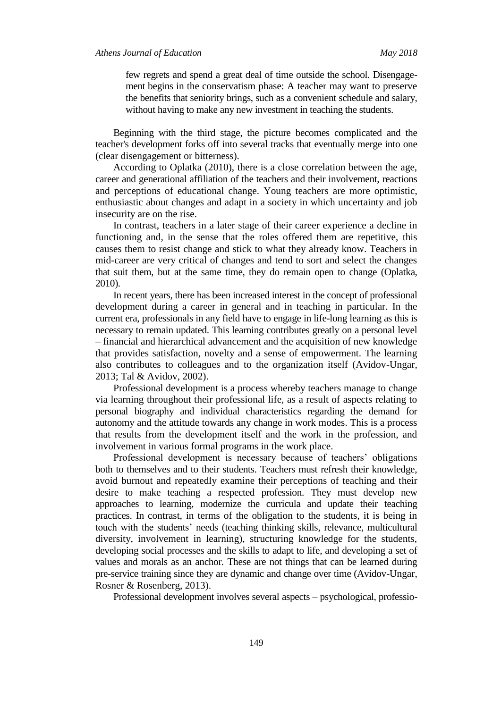few regrets and spend a great deal of time outside the school. Disengagement begins in the conservatism phase: A teacher may want to preserve the benefits that seniority brings, such as a convenient schedule and salary, without having to make any new investment in teaching the students.

Beginning with the third stage, the picture becomes complicated and the teacher's development forks off into several tracks that eventually merge into one (clear disengagement or bitterness).

According to Oplatka (2010), there is a close correlation between the age, career and generational affiliation of the teachers and their involvement, reactions and perceptions of educational change. Young teachers are more optimistic, enthusiastic about changes and adapt in a society in which uncertainty and job insecurity are on the rise.

In contrast, teachers in a later stage of their career experience a decline in functioning and, in the sense that the roles offered them are repetitive, this causes them to resist change and stick to what they already know. Teachers in mid-career are very critical of changes and tend to sort and select the changes that suit them, but at the same time, they do remain open to change (Oplatka, 2010).

In recent years, there has been increased interest in the concept of professional development during a career in general and in teaching in particular. In the current era, professionals in any field have to engage in life-long learning as this is necessary to remain updated. This learning contributes greatly on a personal level – financial and hierarchical advancement and the acquisition of new knowledge that provides satisfaction, novelty and a sense of empowerment. The learning also contributes to colleagues and to the organization itself (Avidov-Ungar, 2013; Tal & Avidov, 2002).

Professional development is a process whereby teachers manage to change via learning throughout their professional life, as a result of aspects relating to personal biography and individual characteristics regarding the demand for autonomy and the attitude towards any change in work modes. This is a process that results from the development itself and the work in the profession, and involvement in various formal programs in the work place.

Professional development is necessary because of teachers' obligations both to themselves and to their students. Teachers must refresh their knowledge, avoid burnout and repeatedly examine their perceptions of teaching and their desire to make teaching a respected profession. They must develop new approaches to learning, modernize the curricula and update their teaching practices. In contrast, in terms of the obligation to the students, it is being in touch with the students" needs (teaching thinking skills, relevance, multicultural diversity, involvement in learning), structuring knowledge for the students, developing social processes and the skills to adapt to life, and developing a set of values and morals as an anchor. These are not things that can be learned during pre-service training since they are dynamic and change over time (Avidov-Ungar, Rosner & Rosenberg, 2013).

Professional development involves several aspects – psychological, professio-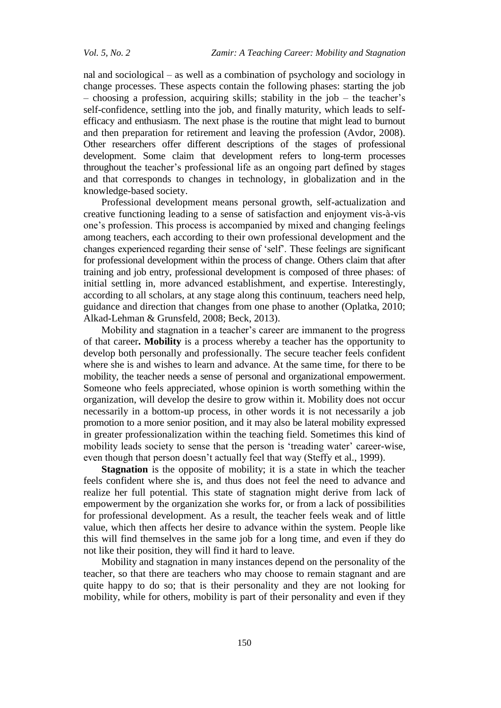nal and sociological – as well as a combination of psychology and sociology in change processes. These aspects contain the following phases: starting the job – choosing a profession, acquiring skills; stability in the job – the teacher"s self-confidence, settling into the job, and finally maturity, which leads to selfefficacy and enthusiasm. The next phase is the routine that might lead to burnout and then preparation for retirement and leaving the profession (Avdor, 2008). Other researchers offer different descriptions of the stages of professional development. Some claim that development refers to long-term processes throughout the teacher"s professional life as an ongoing part defined by stages and that corresponds to changes in technology, in globalization and in the knowledge-based society.

Professional development means personal growth, self-actualization and creative functioning leading to a sense of satisfaction and enjoyment vis-à-vis one"s profession. This process is accompanied by mixed and changing feelings among teachers, each according to their own professional development and the changes experienced regarding their sense of "self". These feelings are significant for professional development within the process of change. Others claim that after training and job entry, professional development is composed of three phases: of initial settling in, more advanced establishment, and expertise. Interestingly, according to all scholars, at any stage along this continuum, teachers need help, guidance and direction that changes from one phase to another (Oplatka, 2010; Alkad-Lehman & Grunsfeld, 2008; Beck, 2013).

Mobility and stagnation in a teacher"s career are immanent to the progress of that career**. Mobility** is a process whereby a teacher has the opportunity to develop both personally and professionally. The secure teacher feels confident where she is and wishes to learn and advance. At the same time, for there to be mobility, the teacher needs a sense of personal and organizational empowerment. Someone who feels appreciated, whose opinion is worth something within the organization, will develop the desire to grow within it. Mobility does not occur necessarily in a bottom-up process, in other words it is not necessarily a job promotion to a more senior position, and it may also be lateral mobility expressed in greater professionalization within the teaching field. Sometimes this kind of mobility leads society to sense that the person is "treading water" career-wise, even though that person doesn't actually feel that way (Steffy et al., 1999).

**Stagnation** is the opposite of mobility; it is a state in which the teacher feels confident where she is, and thus does not feel the need to advance and realize her full potential*.* This state of stagnation might derive from lack of empowerment by the organization she works for, or from a lack of possibilities for professional development. As a result, the teacher feels weak and of little value, which then affects her desire to advance within the system. People like this will find themselves in the same job for a long time, and even if they do not like their position, they will find it hard to leave.

Mobility and stagnation in many instances depend on the personality of the teacher, so that there are teachers who may choose to remain stagnant and are quite happy to do so; that is their personality and they are not looking for mobility, while for others, mobility is part of their personality and even if they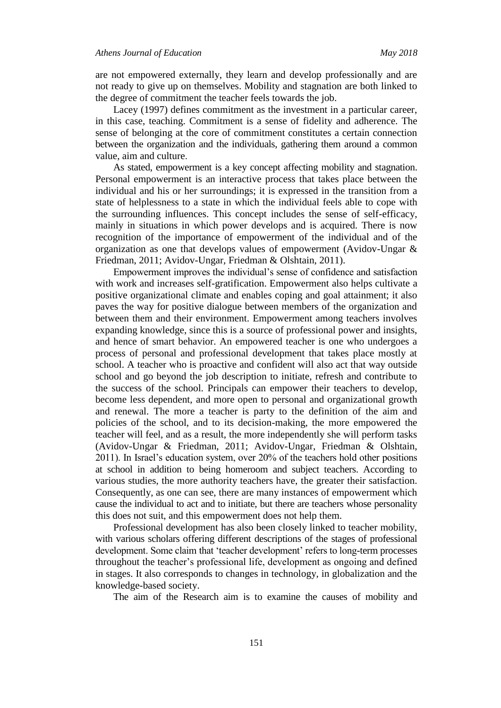are not empowered externally, they learn and develop professionally and are not ready to give up on themselves. Mobility and stagnation are both linked to the degree of commitment the teacher feels towards the job.

Lacey (1997) defines commitment as the investment in a particular career, in this case, teaching. Commitment is a sense of fidelity and adherence. The sense of belonging at the core of commitment constitutes a certain connection between the organization and the individuals, gathering them around a common value, aim and culture.

As stated, empowerment is a key concept affecting mobility and stagnation. Personal empowerment is an interactive process that takes place between the individual and his or her surroundings; it is expressed in the transition from a state of helplessness to a state in which the individual feels able to cope with the surrounding influences. This concept includes the sense of self-efficacy, mainly in situations in which power develops and is acquired. There is now recognition of the importance of empowerment of the individual and of the organization as one that develops values of empowerment (Avidov-Ungar & Friedman, 2011; Avidov-Ungar, Friedman & Olshtain, 2011).

Empowerment improves the individual"s sense of confidence and satisfaction with work and increases self-gratification. Empowerment also helps cultivate a positive organizational climate and enables coping and goal attainment; it also paves the way for positive dialogue between members of the organization and between them and their environment. Empowerment among teachers involves expanding knowledge, since this is a source of professional power and insights, and hence of smart behavior. An empowered teacher is one who undergoes a process of personal and professional development that takes place mostly at school. A teacher who is proactive and confident will also act that way outside school and go beyond the job description to initiate, refresh and contribute to the success of the school. Principals can empower their teachers to develop, become less dependent, and more open to personal and organizational growth and renewal. The more a teacher is party to the definition of the aim and policies of the school, and to its decision-making, the more empowered the teacher will feel, and as a result, the more independently she will perform tasks (Avidov-Ungar & Friedman, 2011; Avidov-Ungar, Friedman & Olshtain, 2011). In Israel"s education system, over 20% of the teachers hold other positions at school in addition to being homeroom and subject teachers. According to various studies, the more authority teachers have, the greater their satisfaction. Consequently, as one can see, there are many instances of empowerment which cause the individual to act and to initiate, but there are teachers whose personality this does not suit, and this empowerment does not help them.

Professional development has also been closely linked to teacher mobility, with various scholars offering different descriptions of the stages of professional development. Some claim that 'teacher development' refers to long-term processes throughout the teacher"s professional life, development as ongoing and defined in stages. It also corresponds to changes in technology, in globalization and the knowledge-based society.

The aim of the Research aim is to examine the causes of mobility and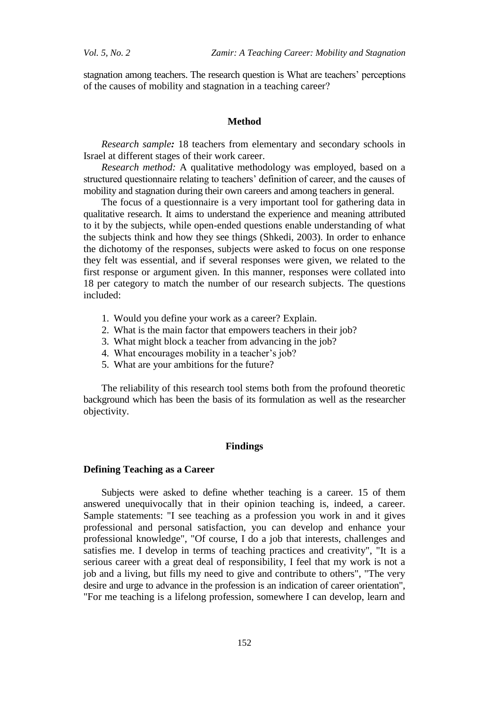stagnation among teachers. The research question is What are teachers" perceptions of the causes of mobility and stagnation in a teaching career?

### **Method**

*Research sample:* 18 teachers from elementary and secondary schools in Israel at different stages of their work career.

*Research method:* A qualitative methodology was employed, based on a structured questionnaire relating to teachers' definition of career, and the causes of mobility and stagnation during their own careers and among teachers in general.

The focus of a questionnaire is a very important tool for gathering data in qualitative research. It aims to understand the experience and meaning attributed to it by the subjects, while open-ended questions enable understanding of what the subjects think and how they see things (Shkedi, 2003). In order to enhance the dichotomy of the responses, subjects were asked to focus on one response they felt was essential, and if several responses were given, we related to the first response or argument given. In this manner, responses were collated into 18 per category to match the number of our research subjects. The questions included:

- 1. Would you define your work as a career? Explain.
- 2. What is the main factor that empowers teachers in their job?
- 3. What might block a teacher from advancing in the job?
- 4. What encourages mobility in a teacher's job?
- 5. What are your ambitions for the future?

The reliability of this research tool stems both from the profound theoretic background which has been the basis of its formulation as well as the researcher objectivity.

## **Findings**

#### **Defining Teaching as a Career**

Subjects were asked to define whether teaching is a career. 15 of them answered unequivocally that in their opinion teaching is, indeed, a career. Sample statements: "I see teaching as a profession you work in and it gives professional and personal satisfaction, you can develop and enhance your professional knowledge", "Of course, I do a job that interests, challenges and satisfies me. I develop in terms of teaching practices and creativity", "It is a serious career with a great deal of responsibility, I feel that my work is not a job and a living, but fills my need to give and contribute to others", "The very desire and urge to advance in the profession is an indication of career orientation", "For me teaching is a lifelong profession, somewhere I can develop, learn and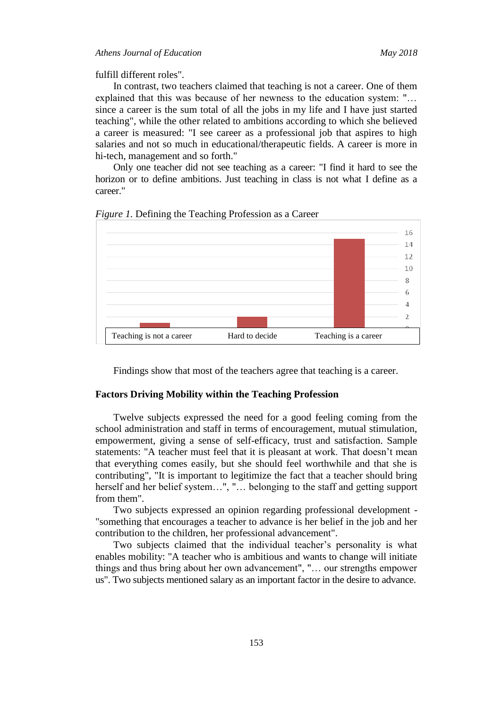fulfill different roles".

In contrast, two teachers claimed that teaching is not a career. One of them explained that this was because of her newness to the education system: "… since a career is the sum total of all the jobs in my life and I have just started teaching", while the other related to ambitions according to which she believed a career is measured: "I see career as a professional job that aspires to high salaries and not so much in educational/therapeutic fields. A career is more in hi-tech, management and so forth."

Only one teacher did not see teaching as a career: "I find it hard to see the horizon or to define ambitions. Just teaching in class is not what I define as a career."



*Figure 1.* Defining the Teaching Profession as a Career

Findings show that most of the teachers agree that teaching is a career.

### **Factors Driving Mobility within the Teaching Profession**

Twelve subjects expressed the need for a good feeling coming from the school administration and staff in terms of encouragement, mutual stimulation, empowerment, giving a sense of self-efficacy, trust and satisfaction. Sample statements: "A teacher must feel that it is pleasant at work. That doesn't mean that everything comes easily, but she should feel worthwhile and that she is contributing", "It is important to legitimize the fact that a teacher should bring herself and her belief system…", "… belonging to the staff and getting support from them".

Two subjects expressed an opinion regarding professional development - "something that encourages a teacher to advance is her belief in the job and her contribution to the children, her professional advancement".

Two subjects claimed that the individual teacher's personality is what enables mobility: "A teacher who is ambitious and wants to change will initiate things and thus bring about her own advancement", "… our strengths empower us". Two subjects mentioned salary as an important factor in the desire to advance.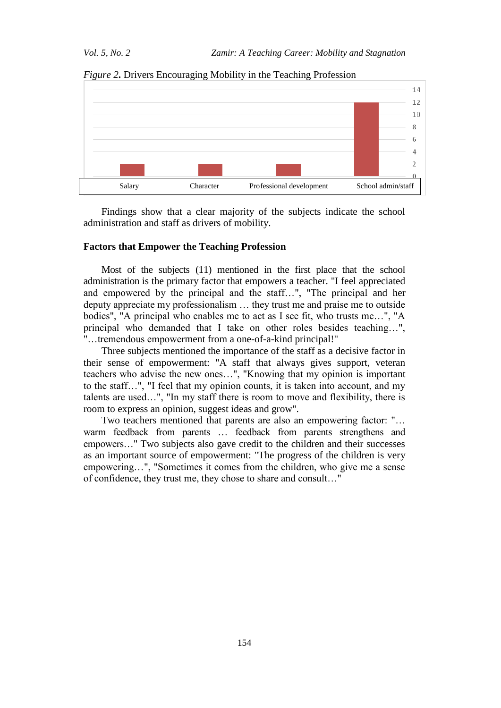

*Figure 2***.** Drivers Encouraging Mobility in the Teaching Profession

Findings show that a clear majority of the subjects indicate the school administration and staff as drivers of mobility.

## **Factors that Empower the Teaching Profession**

Most of the subjects (11) mentioned in the first place that the school administration is the primary factor that empowers a teacher. "I feel appreciated and empowered by the principal and the staff…", "The principal and her deputy appreciate my professionalism … they trust me and praise me to outside bodies", "A principal who enables me to act as I see fit, who trusts me…", "A principal who demanded that I take on other roles besides teaching…", "…tremendous empowerment from a one-of-a-kind principal!"

Three subjects mentioned the importance of the staff as a decisive factor in their sense of empowerment: "A staff that always gives support, veteran teachers who advise the new ones…", "Knowing that my opinion is important to the staff…", "I feel that my opinion counts, it is taken into account, and my talents are used…", "In my staff there is room to move and flexibility, there is room to express an opinion, suggest ideas and grow".

Two teachers mentioned that parents are also an empowering factor: "… warm feedback from parents … feedback from parents strengthens and empowers…" Two subjects also gave credit to the children and their successes as an important source of empowerment: "The progress of the children is very empowering…", "Sometimes it comes from the children, who give me a sense of confidence, they trust me, they chose to share and consult…"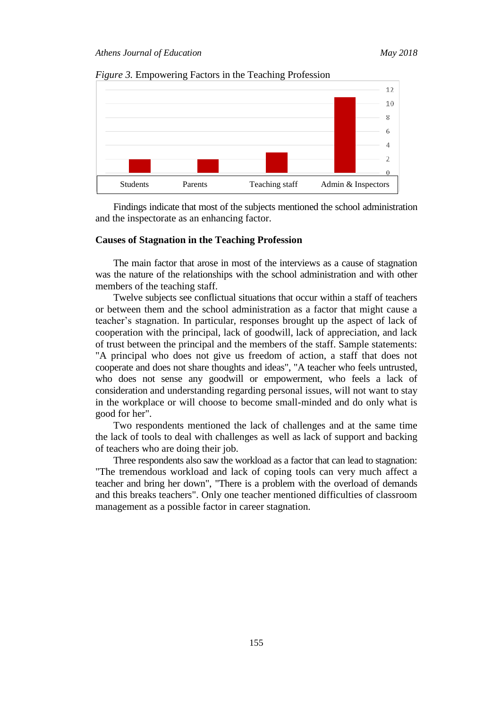



Findings indicate that most of the subjects mentioned the school administration and the inspectorate as an enhancing factor.

#### **Causes of Stagnation in the Teaching Profession**

The main factor that arose in most of the interviews as a cause of stagnation was the nature of the relationships with the school administration and with other members of the teaching staff.

Twelve subjects see conflictual situations that occur within a staff of teachers or between them and the school administration as a factor that might cause a teacher"s stagnation. In particular, responses brought up the aspect of lack of cooperation with the principal, lack of goodwill, lack of appreciation, and lack of trust between the principal and the members of the staff. Sample statements: "A principal who does not give us freedom of action, a staff that does not cooperate and does not share thoughts and ideas", "A teacher who feels untrusted, who does not sense any goodwill or empowerment, who feels a lack of consideration and understanding regarding personal issues, will not want to stay in the workplace or will choose to become small-minded and do only what is good for her".

Two respondents mentioned the lack of challenges and at the same time the lack of tools to deal with challenges as well as lack of support and backing of teachers who are doing their job.

Three respondents also saw the workload as a factor that can lead to stagnation: "The tremendous workload and lack of coping tools can very much affect a teacher and bring her down", "There is a problem with the overload of demands and this breaks teachers". Only one teacher mentioned difficulties of classroom management as a possible factor in career stagnation.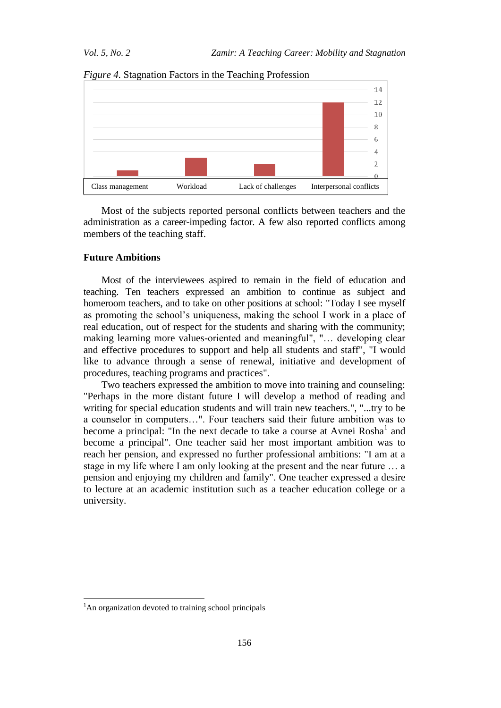

*Figure 4.* Stagnation Factors in the Teaching Profession

Most of the subjects reported personal conflicts between teachers and the administration as a career-impeding factor. A few also reported conflicts among members of the teaching staff.

### **Future Ambitions**

Most of the interviewees aspired to remain in the field of education and teaching. Ten teachers expressed an ambition to continue as subject and homeroom teachers, and to take on other positions at school: "Today I see myself as promoting the school"s uniqueness, making the school I work in a place of real education, out of respect for the students and sharing with the community; making learning more values-oriented and meaningful", "… developing clear and effective procedures to support and help all students and staff", "I would like to advance through a sense of renewal, initiative and development of procedures, teaching programs and practices".

Two teachers expressed the ambition to move into training and counseling: "Perhaps in the more distant future I will develop a method of reading and writing for special education students and will train new teachers.", "...try to be a counselor in computers…". Four teachers said their future ambition was to become a principal: "In the next decade to take a course at Avnei  $Rosh<sup>1</sup>$  and become a principal". One teacher said her most important ambition was to reach her pension, and expressed no further professional ambitions: "I am at a stage in my life where I am only looking at the present and the near future … a pension and enjoying my children and family". One teacher expressed a desire to lecture at an academic institution such as a teacher education college or a university.

l

<sup>&</sup>lt;sup>1</sup>An organization devoted to training school principals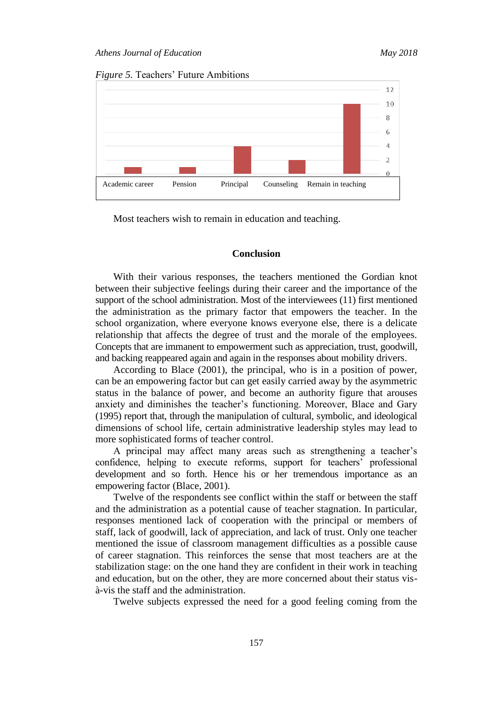



Most teachers wish to remain in education and teaching.

## **Conclusion**

With their various responses, the teachers mentioned the Gordian knot between their subjective feelings during their career and the importance of the support of the school administration. Most of the interviewees (11) first mentioned the administration as the primary factor that empowers the teacher. In the school organization, where everyone knows everyone else, there is a delicate relationship that affects the degree of trust and the morale of the employees. Concepts that are immanent to empowerment such as appreciation, trust, goodwill, and backing reappeared again and again in the responses about mobility drivers.

According to Blace (2001), the principal, who is in a position of power, can be an empowering factor but can get easily carried away by the asymmetric status in the balance of power, and become an authority figure that arouses anxiety and diminishes the teacher's functioning. Moreover, Blace and Gary (1995) report that, through the manipulation of cultural, symbolic, and ideological dimensions of school life, certain administrative leadership styles may lead to more sophisticated forms of teacher control.

A principal may affect many areas such as strengthening a teacher"s confidence, helping to execute reforms, support for teachers' professional development and so forth. Hence his or her tremendous importance as an empowering factor (Blace, 2001).

Twelve of the respondents see conflict within the staff or between the staff and the administration as a potential cause of teacher stagnation. In particular, responses mentioned lack of cooperation with the principal or members of staff, lack of goodwill, lack of appreciation, and lack of trust. Only one teacher mentioned the issue of classroom management difficulties as a possible cause of career stagnation. This reinforces the sense that most teachers are at the stabilization stage: on the one hand they are confident in their work in teaching and education, but on the other, they are more concerned about their status visà-vis the staff and the administration.

Twelve subjects expressed the need for a good feeling coming from the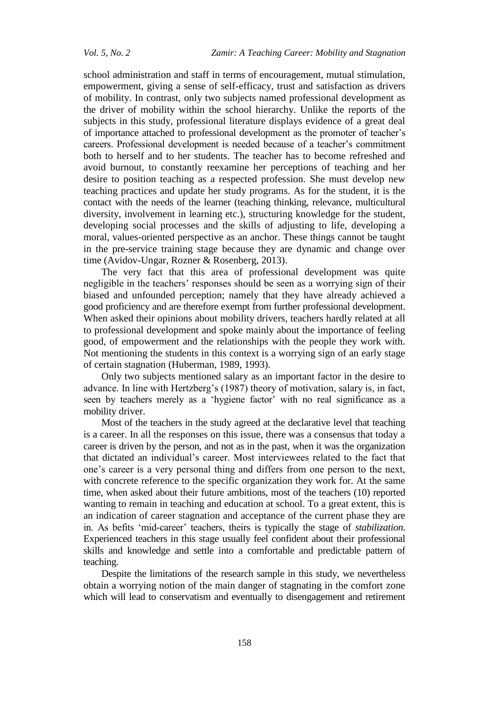school administration and staff in terms of encouragement, mutual stimulation, empowerment, giving a sense of self-efficacy, trust and satisfaction as drivers of mobility. In contrast, only two subjects named professional development as the driver of mobility within the school hierarchy. Unlike the reports of the subjects in this study, professional literature displays evidence of a great deal of importance attached to professional development as the promoter of teacher"s careers. Professional development is needed because of a teacher"s commitment both to herself and to her students. The teacher has to become refreshed and avoid burnout, to constantly reexamine her perceptions of teaching and her desire to position teaching as a respected profession. She must develop new teaching practices and update her study programs. As for the student, it is the contact with the needs of the learner (teaching thinking, relevance, multicultural diversity, involvement in learning etc.), structuring knowledge for the student, developing social processes and the skills of adjusting to life, developing a moral, values-oriented perspective as an anchor. These things cannot be taught in the pre-service training stage because they are dynamic and change over time (Avidov-Ungar, Rozner & Rosenberg, 2013).

The very fact that this area of professional development was quite negligible in the teachers' responses should be seen as a worrying sign of their biased and unfounded perception; namely that they have already achieved a good proficiency and are therefore exempt from further professional development. When asked their opinions about mobility drivers, teachers hardly related at all to professional development and spoke mainly about the importance of feeling good, of empowerment and the relationships with the people they work with. Not mentioning the students in this context is a worrying sign of an early stage of certain stagnation (Huberman, 1989, 1993).

Only two subjects mentioned salary as an important factor in the desire to advance. In line with Hertzberg's (1987) theory of motivation, salary is, in fact, seen by teachers merely as a 'hygiene factor' with no real significance as a mobility driver.

Most of the teachers in the study agreed at the declarative level that teaching is a career. In all the responses on this issue, there was a consensus that today a career is driven by the person, and not as in the past, when it was the organization that dictated an individual"s career. Most interviewees related to the fact that one"s career is a very personal thing and differs from one person to the next, with concrete reference to the specific organization they work for. At the same time, when asked about their future ambitions, most of the teachers (10) reported wanting to remain in teaching and education at school. To a great extent, this is an indication of career stagnation and acceptance of the current phase they are in. As befits "mid-career" teachers, theirs is typically the stage of *stabilization*. Experienced teachers in this stage usually feel confident about their professional skills and knowledge and settle into a comfortable and predictable pattern of teaching.

Despite the limitations of the research sample in this study, we nevertheless obtain a worrying notion of the main danger of stagnating in the comfort zone which will lead to conservatism and eventually to disengagement and retirement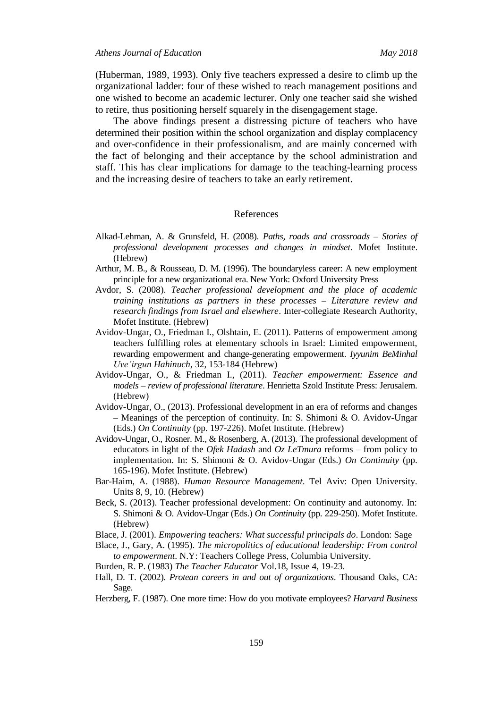(Huberman, 1989, 1993). Only five teachers expressed a desire to climb up the organizational ladder: four of these wished to reach management positions and one wished to become an academic lecturer. Only one teacher said she wished to retire, thus positioning herself squarely in the disengagement stage.

The above findings present a distressing picture of teachers who have determined their position within the school organization and display complacency and over-confidence in their professionalism, and are mainly concerned with the fact of belonging and their acceptance by the school administration and staff. This has clear implications for damage to the teaching-learning process and the increasing desire of teachers to take an early retirement.

#### References

- Alkad-Lehman, A. & Grunsfeld, H. (2008). *Paths, roads and crossroads – Stories of professional development processes and changes in mindset*. Mofet Institute. (Hebrew)
- Arthur, M. B., & Rousseau, D. M. (1996). The boundaryless career: A new employment principle for a new organizational era. New York: Oxford University Press
- Avdor, S. (2008). *Teacher professional development and the place of academic training institutions as partners in these processes – Literature review and research findings from Israel and elsewhere*. Inter-collegiate Research Authority, Mofet Institute. (Hebrew)
- Avidov-Ungar, O., Friedman I., Olshtain, E. (2011). Patterns of empowerment among teachers fulfilling roles at elementary schools in Israel: Limited empowerment, rewarding empowerment and change-generating empowerment. *Iyyunim BeMinhal Uve'irgun Hahinuch*, 32, 153-184 (Hebrew)
- Avidov-Ungar, O., & Friedman I., (2011). *Teacher empowerment: Essence and models – review of professional literature*. Henrietta Szold Institute Press: Jerusalem. (Hebrew)
- Avidov-Ungar, O., (2013). Professional development in an era of reforms and changes – Meanings of the perception of continuity. In: S. Shimoni & O. Avidov-Ungar (Eds.) *On Continuity* (pp. 197-226). Mofet Institute. (Hebrew)
- Avidov-Ungar, O., Rosner. M., & Rosenberg, A. (2013). The professional development of educators in light of the *Ofek Hadash* and *Oz LeTmura* reforms – from policy to implementation. In: S. Shimoni & O. Avidov-Ungar (Eds.) *On Continuity* (pp. 165-196). Mofet Institute. (Hebrew)
- Bar-Haim, A. (1988). *Human Resource Management*. Tel Aviv: Open University. Units 8, 9, 10. (Hebrew)
- Beck, S. (2013). Teacher professional development: On continuity and autonomy. In: S. Shimoni & O. Avidov-Ungar (Eds.) *On Continuity* (pp. 229-250). Mofet Institute. (Hebrew)
- Blace, J. (2001). *Empowering teachers: What successful principals do*. London: Sage
- Blace, J., Gary, A. (1995). *The micropolitics of educational leadership: From control to empowerment*. N.Y: Teachers College Press, Columbia University.
- Burden, R. P. (1983) *The Teacher Educator* Vol.18, Issue 4, 19-23.
- Hall, D. T. (2002). *Protean careers in and out of organizations*. Thousand Oaks, CA: Sage.
- Herzberg, F. (1987). One more time: How do you motivate employees? *Harvard Business*